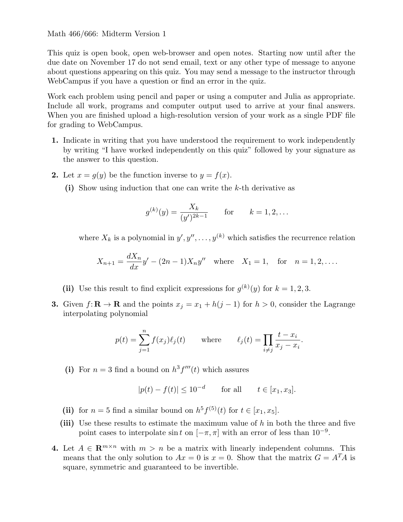#### Math 466/666: Midterm Version 1

This quiz is open book, open web-browser and open notes. Starting now until after the due date on November 17 do not send email, text or any other type of message to anyone about questions appearing on this quiz. You may send a message to the instructor through WebCampus if you have a question or find an error in the quiz.

Work each problem using pencil and paper or using a computer and Julia as appropriate. Include all work, programs and computer output used to arrive at your final answers. When you are finished upload a high-resolution version of your work as a single PDF file for grading to WebCampus.

- 1. Indicate in writing that you have understood the requirement to work independently by writing "I have worked independently on this quiz" followed by your signature as the answer to this question.
- 2. Let  $x = g(y)$  be the function inverse to  $y = f(x)$ .
	- (i) Show using induction that one can write the  $k$ -th derivative as

$$
g^{(k)}(y) = \frac{X_k}{(y')^{2k-1}}
$$
 for  $k = 1, 2, ...$ 

where  $X_k$  is a polynomial in  $y', y'', \ldots, y^{(k)}$  which satisfies the recurrence relation

$$
X_{n+1} = \frac{dX_n}{dx}y' - (2n-1)X_ny'' \text{ where } X_1 = 1, \text{ for } n = 1, 2, ....
$$

- (ii) Use this result to find explicit expressions for  $g^{(k)}(y)$  for  $k = 1, 2, 3$ .
- 3. Given  $f: \mathbf{R} \to \mathbf{R}$  and the points  $x_j = x_1 + h(j-1)$  for  $h > 0$ , consider the Lagrange interpolating polynomial

$$
p(t) = \sum_{j=1}^{n} f(x_j) \ell_j(t) \quad \text{where} \quad \ell_j(t) = \prod_{i \neq j} \frac{t - x_i}{x_j - x_i}.
$$

(i) For  $n = 3$  find a bound on  $h^3 f'''(t)$  which assures

$$
|p(t) - f(t)| \le 10^{-d}
$$
 for all  $t \in [x_1, x_3]$ .

- (ii) for  $n = 5$  find a similar bound on  $h^5 f^{(5)}(t)$  for  $t \in [x_1, x_5]$ .
- (iii) Use these results to estimate the maximum value of  $h$  in both the three and five point cases to interpolate  $\sin t$  on  $[-\pi, \pi]$  with an error of less than  $10^{-9}$ .
- 4. Let  $A \in \mathbb{R}^{m \times n}$  with  $m > n$  be a matrix with linearly independent columns. This means that the only solution to  $Ax = 0$  is  $x = 0$ . Show that the matrix  $G = A<sup>T</sup>A$  is square, symmetric and guaranteed to be invertible.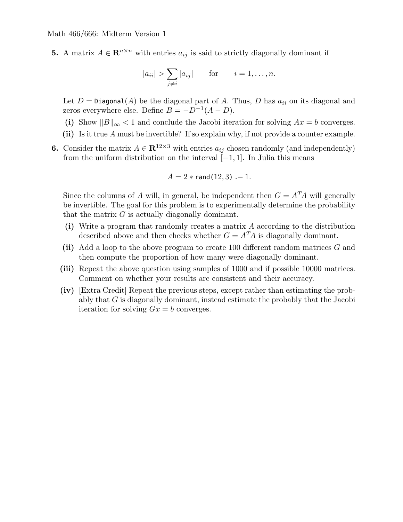Math 466/666: Midterm Version 1

5. A matrix  $A \in \mathbb{R}^{n \times n}$  with entries  $a_{ij}$  is said to strictly diagonally dominant if

$$
|a_{ii}| > \sum_{j \neq i} |a_{ij}| \quad \text{for} \quad i = 1, \dots, n.
$$

Let  $D = \text{Diagonal}(A)$  be the diagonal part of A. Thus, D has  $a_{ii}$  on its diagonal and zeros everywhere else. Define  $B = -D^{-1}(A - D)$ .

- (i) Show  $||B||_{\infty} < 1$  and conclude the Jacobi iteration for solving  $Ax = b$  converges.
- (ii) Is it true A must be invertible? If so explain why, if not provide a counter example.
- **6.** Consider the matrix  $A \in \mathbb{R}^{12 \times 3}$  with entries  $a_{ij}$  chosen randomly (and independently) from the uniform distribution on the interval  $[-1, 1]$ . In Julia this means

$$
A=2*\mathop{\mathsf{rand}}\nolimits(12,3)\,\, -1.
$$

Since the columns of A will, in general, be independent then  $G = A<sup>T</sup>A$  will generally be invertible. The goal for this problem is to experimentally determine the probability that the matrix  $G$  is actually diagonally dominant.

- (i) Write a program that randomly creates a matrix A according to the distribution described above and then checks whether  $G = A<sup>T</sup>A$  is diagonally dominant.
- (ii) Add a loop to the above program to create 100 different random matrices  $G$  and then compute the proportion of how many were diagonally dominant.
- (iii) Repeat the above question using samples of 1000 and if possible 10000 matrices. Comment on whether your results are consistent and their accuracy.
- (iv) [Extra Credit] Repeat the previous steps, except rather than estimating the probably that G is diagonally dominant, instead estimate the probably that the Jacobi iteration for solving  $Gx = b$  converges.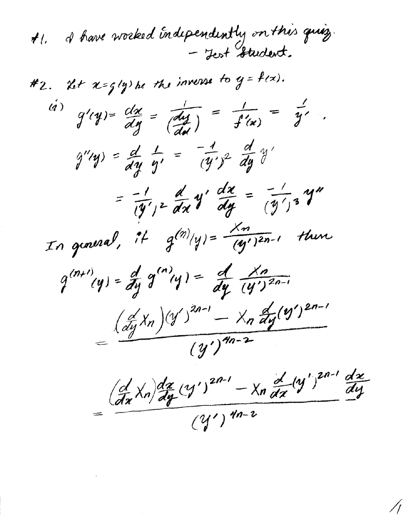I have worked independently on this quiz.  $\boldsymbol{t}$ l, - Jest Student.

#2. Let  $x=g(y)$  be the inverse to  $y=f(x)$ .  $f(x)$   $g'(y) = \frac{dx}{dy} = \frac{1}{\frac{dy}{dx}} = \frac{1}{f'(x)} = \frac{1}{y'}.$  $g''(y) = \frac{d}{dy} \frac{1}{y'} = -\frac{1}{(y')^2} \frac{d}{dy} y'$ =  $\frac{d}{dy'}$ ,  $2\frac{d}{dx}y'$   $\frac{dx}{dy}$  =  $\frac{1}{(y')^3}y''$ In general, it  $g^{(n)}(y) = \frac{X_n}{(y^2)^{2n-1}}$  there  $q^{(n+1)}(y) = \frac{d}{dy} q^{(n)}(y) = \frac{d}{dy} \frac{X_n}{(y')^{2n-1}}$  $\frac{(\frac{d}{dy}x_n)(y')^{2n-1}-x_n\frac{d}{dy}(y')^{2n-1}}{x_n-x_1}$  $\overline{(y')^{4n-2}}$ 

 $\left(\frac{d}{dx}\chi_{n}\right)\frac{dx}{dy}(y')^{2n-1}-\chi_{n}\frac{d}{dx}(y')^{2n-1}\frac{dx}{dy}$  $(y')$  4n-2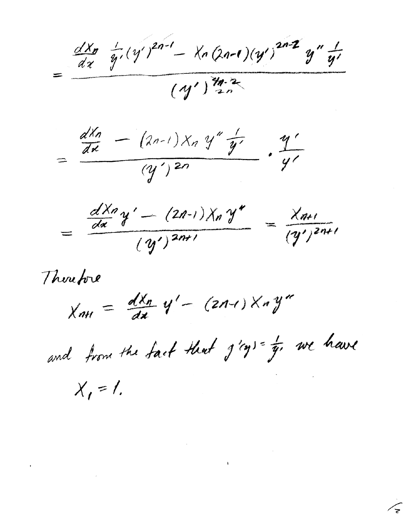$=\frac{\frac{d^{2}x_{p}}{dx}+\frac{1}{y}(y')^{2n-1}-x_{n}(2n-1)(y')^{2n-2}y''+\frac{1}{y'}}{(y')^{\frac{2n}{2}})^{2n}}$ 

 $\frac{d^{Xn}}{dx} - (2n-1)X_n y'' \frac{1}{y'}$ .  $\frac{y'}{y'}$ 

 $\frac{dX_7}{dx}y'-(2n-1)X_n y''}{(y')^{2n+1}} = \frac{X_{n+1}}{(y')^{2n+1}}$ 

Therefore

 $X_{nH} = \frac{dX_n}{dx} y' - (2n-1)X_n y''$ 

and from the fact that  $j'$ ? = = we have

 $\mathbf{I}$ 

 $X_i = I$ .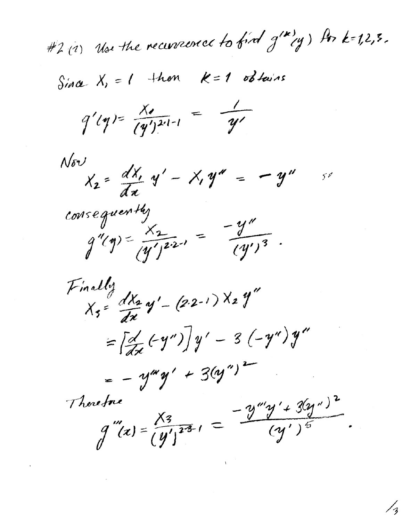#2(1) Use the recurrence to find g'"(y) for k=1,2,3.

Since  $X_i = 1$  then  $k=1$  obtains

 $q'(y) = \frac{x}{(y')^{2(1-1)}} = \frac{1}{y'}$ 

 $x_2 = \frac{dX_1}{dx}y' - X_1y'' = -y''$  $N \delta V$ 50

consequently  $g''(y) = \frac{x^2}{(y')^2}$  =  $\frac{-y''}{(y')^3}$ .

Finally<br>X3=  $\frac{dX_2}{dx}$  y' - (2.2-1) X2 y"  $=\left[\frac{d}{dx}(-y'')\right]y' - 3(-y'')y''$  $= -y^{xy}y' + 3(y'')^2$  $g'''(x) = \frac{X_3}{(y')^{23}} = \frac{-y'''y'+3(y'')^2}{(y')^5}$ Therefore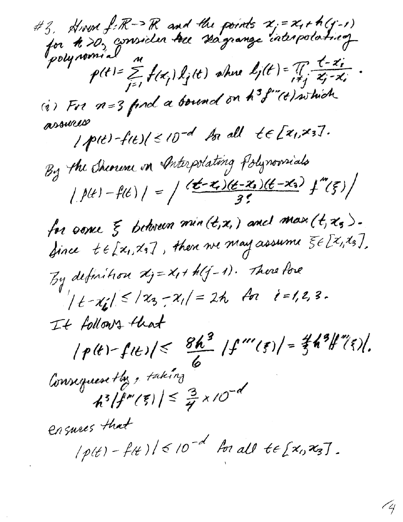#3, Hrvn f: R -> R and the points x = x + h (y-1)<br>for th >0, consider tree stagrange interpolating p(t)=  $\sum_{j=1}^{\infty} f(x_j) k_j(t)$  where  $k_j(t) = \frac{1}{\sqrt{2}} \frac{t - x_i}{x_j - x_i}$ <br>(i) For  $n = 3$  find a bound on  $h^3 f''(t)$  which assures  $1$ p(t)-f(t)(<10<sup>-d</sup> An all  $te[z_1,x_3].$ By the Sherine on Interpolating Polynomials  $|f(t)-f(t)| = \int \frac{(t-x)(t-x_0)(t-x_0)}{3!}f''(\xi)$ for some  $\xi$  between  $min(t,x_i)$  and max $(t,x_s)$ . Since  $t \in [x_1, x_5]$ , then we may assume  $\xi \in [x_1, x_5]$ , By definition  $x_j = x_j + h(j-1)$ . There fore  $|t-x_{1}| \leq |x_{3}-x_{1}| = 2\hbar$  for  $i=1,2,3$ . It follows that  $|p(t)-f(t)| \leq \frac{8h^3}{6} |f'''(s)| = \frac{2}{3}h^3|f''(s)|.$ Consequently, taking  $h^{3}/f'''(\xi)/\leq \frac{3}{7} \times 10^{-d}$ ensures that  $|p(t) - f(t)| \leq 10^{-d}$  for all  $t \in [x_0, x_3]$ .

74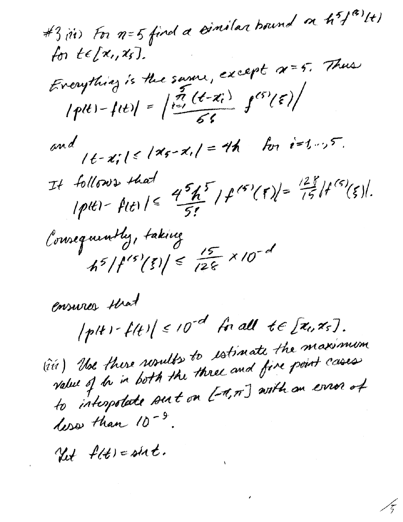#3, iii) For n=5 find a timilar bound on hif<sup>(2)</sup>lt) for  $te[x_{1},x_{5}]$ . Everythiag is the same, except x=5. Thus  $|p(t)-f(t)| = \left|\frac{\pi}{1-\pi} \frac{(t-x_i)}{56}\right| f^{(5)}(\epsilon)$ and  $|t-x_i| \le |x_{s-1}| = 4h$  for  $i=1...5$ . It follows that<br>Iplei-fitile  $45h^{5}/f^{(6)}(5)=\frac{128}{75}f^{(6)}(5).$ Consequently, taking  $45/f^{15}(\xi)\approx \frac{15}{128} \times 10^{-d}$ 

ensures that  $|p(t) - f(t)| \le 10^{-d}$  friall te [x1, x5]. (iv) Use there results to estimate the maximum to interpretate surt on [1,7] with an error of less than  $10^{-9}$ .

17

Yet flt) = sixt.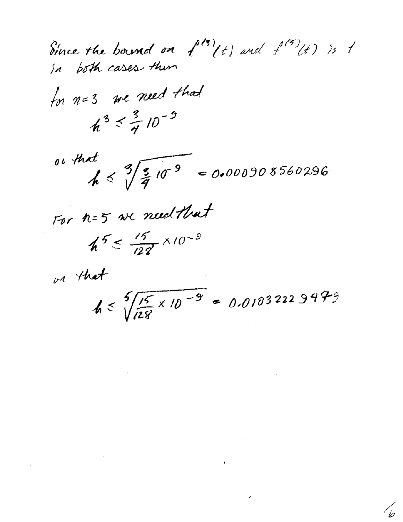Since the bound on  $f^{(3)}(t)$  and  $f^{(5)}(t)$  is 1 for n=3 we need that  $h^3 \leq \frac{3}{4}$  10<sup>-9</sup>

or that<br> $h \le \sqrt[3]{\frac{5}{4}10^{-9}} = 0.000908560296$ 

For n=5 we need that

$$
h^5 \leq \frac{15}{128} \times 10^{-9}
$$

or that

 $h \leq \sqrt[5]{\frac{15}{128} \times 10^{-9}} = 0.01032229479$ 

 $\mathcal{A}$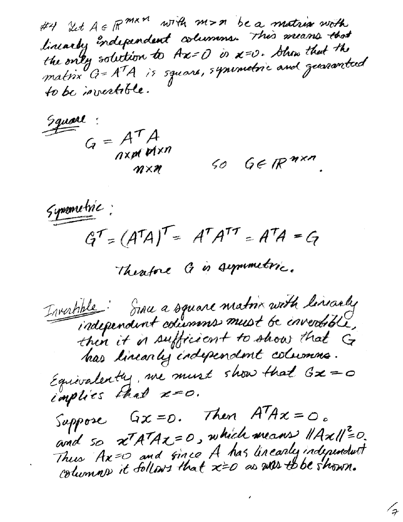#4 Ict A E R mx n with m>n be a matrix worth the only solution to Ax= O is x=0. Show that the matin G=ATA is square, synumetric and guaranteed to be invertible.

Square:  $G = A^T A$ nxpr plxn  $\eta \times \eta$ 

 $60$   $66$   $R^{n \times n}$ .

Symmetric:  $G^{\dagger} = (A^{\dagger}A)^{\dagger} = A^{\dagger}A^{\dagger\dagger} = A^{\dagger}A = G$ 

Theatone à in supporterie.

Irvertible: Since a square matrix with linearly independent columns must be invertible, has linearly independent columns. Equivalently, we must show that  $Gx = o$ implies that x=0.

Suppose  $Gx = 0$ . Then  $A^{T}Ax = 0$ . and so xTATAZ=0, which means HAxII20. Thus Ax=0 and gince A has linearly independent

 $\mathcal{L}_{\mathcal{F}}$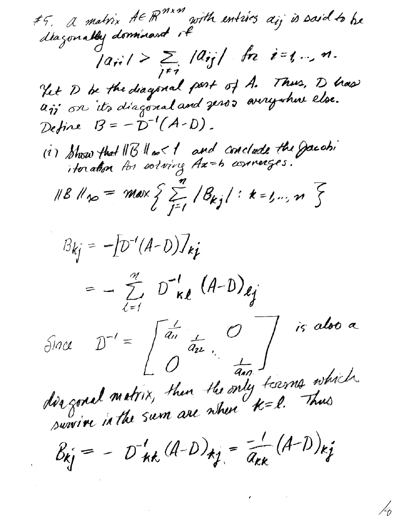#5. A matrix AE  $R^{m \times m}$  with entires aij is said to be  $|a_{ii}| > \sum_{j \neq i} |a_{ij}|$  fre i=1,..., m. Yet D be the diagonal part of A. Thus, D has Define  $B=-D^{-1}(A-D)$ . (1) Show that IIB II no I and conclude the gacation 118 11 no = max  $\sum_{j=1}^{n} |\mathcal{B}_{kj}| : k = 1, ..., n$  $B_{kj} = -[D^{-1}(A-D)]_{kj}$  $= - \sum_{i=1}^{m} D_{\kappa}^{1} (A-D)_{\ell}$ Since  $D^{-1} = \begin{pmatrix} \frac{1}{a_{11}} & & & \ & \frac{1}{a_{22}} & & \ & & \frac{1}{a_{23}} & \ & & & \frac{1}{a_{24}} \end{pmatrix}$  is also a dis gonal matrix, then the only tisems which  $B_{kj} = -D'_{kk}(A-D)_{kj} = \frac{1}{a_{kk}}(A-D)_{kj}$ 

 $\frac{1}{6}$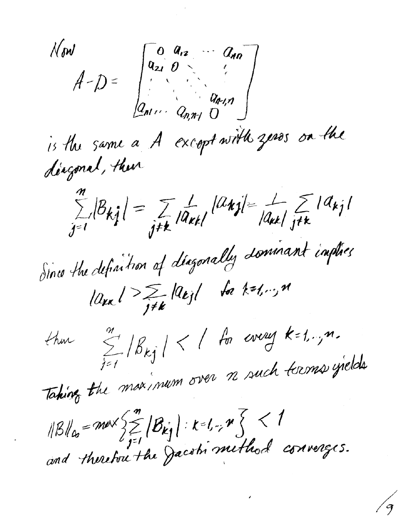$A-D=\begin{bmatrix} 0 & a_{12} & a_{14} \\ a_{21} & 0 & a_{22} \\ \vdots & \vdots & \vdots \\ a_{n1}, & a_{n1} & 0 \end{bmatrix}$ N on I is the same a A except with zeros on the diagonal, their  $\sum_{j=1}^{n}|\beta_{kj}|=\sum_{j\neq k}|\widehat{a}_{kk}|^{|\mathcal{U}_{kj}|}=\frac{1}{|a_{kk}|}\sum_{j\neq k}|\widehat{a}_{kj}|$ Since the definition of diagonally dominant implies  $|a_{\mu\nu}|>\sum_{j\neq k}|a_{kj}|$  for  $k=l,\cdots,M$ that  $\sum_{i=1}^{m}|\beta_{kj}|<1$  for every  $k=1,..,n$ . Taking the maximum over n such terms yields  $||B||_{\alpha} = m\alpha \sqrt{\sum_{j=1}^{m} |B_{kj}|} : k=1, \forall j \leq 1$ <br>and therefore the Jacobi method converges.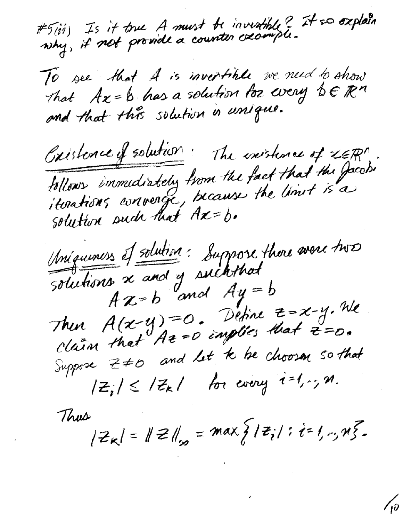#5(ii) Is it true A must be invertible? It so oxplain

To see that A is invertible we need to show<br>That Ax=b has a solution for every bERM<br>and that this solution in unique.

Cristence of solution: The inistence of xERM. follows immediately from the fact that the Jacobi

Mnigueness of solution: Suppose there avere two Solutions x and y such that<br> $A z = b$  and  $A y = b$ Then  $A(x-y)=0$ . Define  $z=x-y$ . We<br>claim that  $Az=0$  implies that  $z=0$ . Suppose  $z \neq 0$  and let to be choosen so that  $|Z_i| \leq |Z_k|$  for every  $i=1,2, n$ .

Thus

 $|z_{\kappa}| = ||z||_{\infty} = max \{ |z_i| : i = 1, ..., n \}$ 

 $\sqrt{\rho}$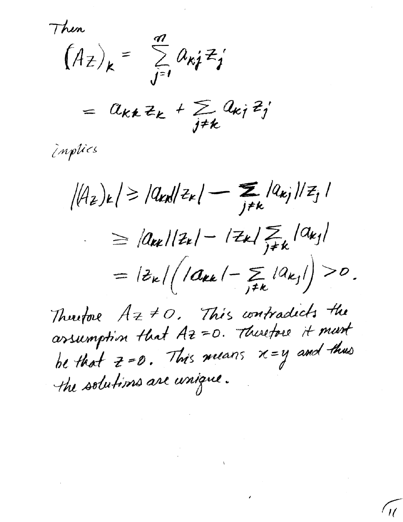Then

 $(A_{\overline{z}})_k = \sum_{j=1}^{\infty} a_{kj} z_j$ 

=  $a_{kk} z_k + \sum_{j \neq k} a_{kj} z_j$ 

implies

 $|(A_{z})_{k}| \geq |a_{k}||z_{k}| - \sum_{j \neq k} |a_{kj}||z_{j}|$  $\ge |a_{kk}|/z_{k}| - |z_{k}| \sum_{j \neq k} |a_{kj}|$ =  $|z_{k}| \bigg( |a_{kk}| - \sum_{j \neq k} |a_{kj}| \bigg) > 0$ .

Therefore  $A z \neq 0$ . This contradicts the be that  $z=0$ . This means  $x=y$  and thus the solutions are unique.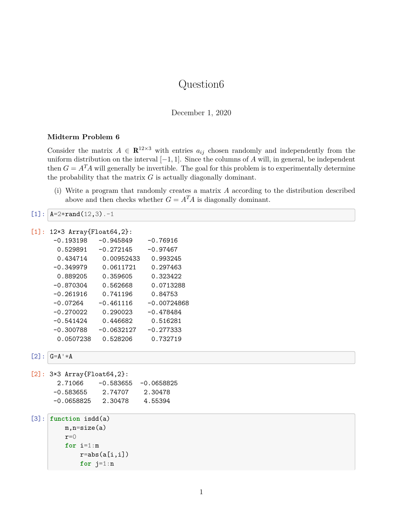# Question6

December 1, 2020

#### **Midterm Problem 6**

Consider the matrix  $A \in \mathbb{R}^{12 \times 3}$  with entries  $a_{ij}$  chosen randomly and independently from the uniform distribution on the interval  $[-1, 1]$ . Since the columns of A will, in general, be independent then  $G = A<sup>T</sup>A$  will generally be invertible. The goal for this problem is to experimentally determine the probability that the matrix  $G$  is actually diagonally dominant.

(i) Write a program that randomly creates a matrix A according to the distribution described above and then checks whether  $G = A<sup>T</sup>A$  is diagonally dominant.

```
[1]: A=2*rand(12,3). -1
```

```
[1]: 12×3 Array{Float64,2}:
```

| $-0.193198$ | $-0.945849$  | $-0.76916$    |
|-------------|--------------|---------------|
| 0.529891    | $-0.272145$  | $-0.97467$    |
| 0.434714    | 0.00952433   | 0.993245      |
| $-0.349979$ | 0.0611721    | 0.297463      |
| 0.889205    | 0.359605     | 0.323422      |
| $-0.870304$ | 0.562668     | 0.0713288     |
| $-0.261916$ | 0.741196     | 0.84753       |
| -0.07264    | $-0.461116$  | $-0.00724868$ |
| $-0.270022$ | 0.290023     | $-0.478484$   |
| -0.541424   | 0.446682     | 0.516281      |
| $-0.300788$ | $-0.0632127$ | $-0.277333$   |
| 0.0507238   | 0.528206     | 0.732719      |

 $[2]$ :  $G=A^**A$ 

| $[2]: 3×3 Array{Float64,2}:$ |         |                         |  |  |  |  |  |  |  |
|------------------------------|---------|-------------------------|--|--|--|--|--|--|--|
| 2.71066                      |         | $-0.583655 - 0.0658825$ |  |  |  |  |  |  |  |
| -0.583655                    | 2.74707 | 2.30478                 |  |  |  |  |  |  |  |
| $-0.0658825$                 | 2.30478 | 4.55394                 |  |  |  |  |  |  |  |
|                              |         |                         |  |  |  |  |  |  |  |

```
[3]: function isdd(a)
         m,n=size(a)
         r=0for i=1:m
             r = abs(a[i, i])for j=1:n
```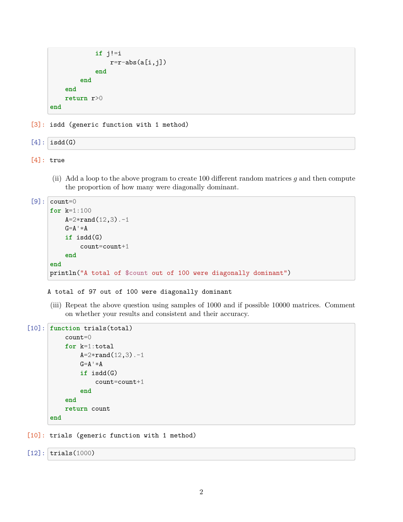```
if j!=i
                 r=r-abs(a[i,j])end
        end
    end
    return r>0
end
```
[3]: isdd (generic function with 1 method)

 $[4]$ : isdd $(G)$ 

```
[4]: true
```
(ii) Add a loop to the above program to create 100 different random matrices  $g$  and then compute the proportion of how many were diagonally dominant.

```
[9]: count=0
      for k=1:100
           A=2*rand(12,3).-1
           \mathbf{G} \text{=} \mathbf{A}^+ \ast \mathbf{A}if isdd(G)
                 count=count+1
           end
      end
      println("A total of $count out of 100 were diagonally dominant")
```
#### A total of 97 out of 100 were diagonally dominant

(iii) Repeat the above question using samples of 1000 and if possible 10000 matrices. Comment on whether your results and consistent and their accuracy.

```
[10]: function trials(total)
          count=0
          for k=1:total
              A=2*rand(12,3).-1
              G=A^+*Aif isdd(G)
                   count=count+1
              end
          end
          return count
      end
```
[10]: trials (generic function with 1 method)

```
[12]: trials(1000)
```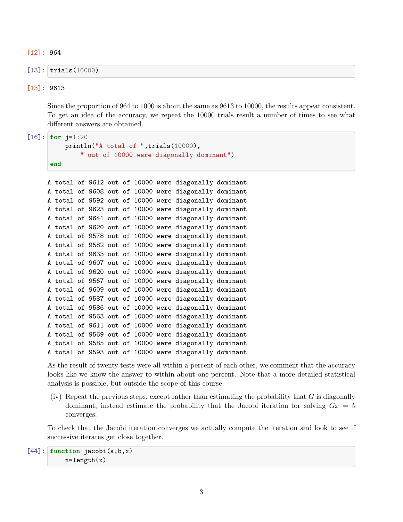[12]: 964

```
[13]: trials(10000)
```
#### [13]: 9613

Since the proportion of 964 to 1000 is about the same as 9613 to 10000, the results appear consistent. To get an idea of the accuracy, we repeat the 10000 trials result a number of times to see what different answers are obtained.

 $[16]$ : **for**  $j=1:20$ 

```
println("A total of ", trials(10000),
        " out of 10000 were diagonally dominant")
end
```

|  |  |  |  | A total of 9612 out of 10000 were diagonally dominant |  |
|--|--|--|--|-------------------------------------------------------|--|
|  |  |  |  | A total of 9608 out of 10000 were diagonally dominant |  |
|  |  |  |  | A total of 9592 out of 10000 were diagonally dominant |  |
|  |  |  |  | A total of 9623 out of 10000 were diagonally dominant |  |
|  |  |  |  | A total of 9641 out of 10000 were diagonally dominant |  |
|  |  |  |  | A total of 9620 out of 10000 were diagonally dominant |  |
|  |  |  |  | A total of 9578 out of 10000 were diagonally dominant |  |
|  |  |  |  | A total of 9582 out of 10000 were diagonally dominant |  |
|  |  |  |  | A total of 9633 out of 10000 were diagonally dominant |  |
|  |  |  |  | A total of 9607 out of 10000 were diagonally dominant |  |
|  |  |  |  | A total of 9620 out of 10000 were diagonally dominant |  |
|  |  |  |  | A total of 9567 out of 10000 were diagonally dominant |  |
|  |  |  |  | A total of 9609 out of 10000 were diagonally dominant |  |
|  |  |  |  | A total of 9587 out of 10000 were diagonally dominant |  |
|  |  |  |  | A total of 9586 out of 10000 were diagonally dominant |  |
|  |  |  |  | A total of 9563 out of 10000 were diagonally dominant |  |
|  |  |  |  | A total of 9611 out of 10000 were diagonally dominant |  |
|  |  |  |  | A total of 9569 out of 10000 were diagonally dominant |  |
|  |  |  |  | A total of 9585 out of 10000 were diagonally dominant |  |
|  |  |  |  | A total of 9593 out of 10000 were diagonally dominant |  |

As the result of twenty tests were all within a percent of each other, we comment that the accuracy looks like we know the answer to within about one percent. Note that a more detailed statistical analysis is possible, but outside the scope of this course.

(iv) Repeat the previous steps, except rather than estimating the probability that  $G$  is diagonally dominant, instead estimate the probability that the Jacobi iteration for solving  $Gx = b$ converges.

To check that the Jacobi iteration converges we actually compute the iteration and look to see if successive iterates get close together.

```
[44]: function jacobi(a,b,x)
          n=length(x)
```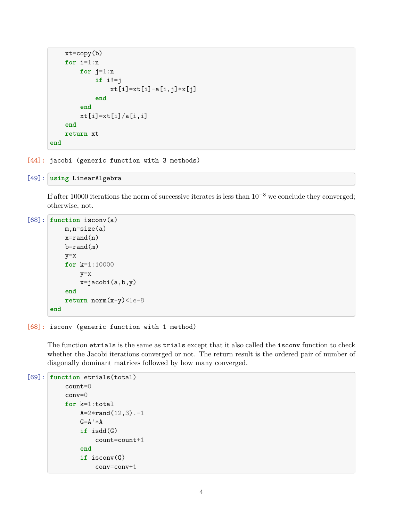```
xt = copy(b)for i=1:n
        for j=1:n
            if i!=j
                xt[i]=xt[i]-a[i,j]*x[j]end
        end
        xt[i]=xt[i]/a[i,i]end
    return xt
end
```
[44]: jacobi (generic function with 3 methods)

```
[49]: using LinearAlgebra
```
If after 10000 iterations the norm of successive iterates is less than 10−<sup>8</sup> we conclude they converged; otherwise, not.

```
[68]: function isconv(a)
          m,n=size(a)
          x=rand(n)b=rand(m)
          y=x
          for k=1:10000
              y=x
              x=jacobi(a,b,y)
          end
          return norm(x-y)<1e-8
      end
```
#### [68]: isconv (generic function with 1 method)

The function etrials is the same as trials except that it also called the isconv function to check whether the Jacobi iterations converged or not. The return result is the ordered pair of number of diagonally dominant matrices followed by how many converged.

```
[69]: function etrials(total)
          count=0
          conv=0
          for k=1:total
              A=2*rand(12,3).-1
              G = A^+ * Aif isdd(G)
                   count=count+1
               end
               if isconv(G)
                   conv=conv+1
```